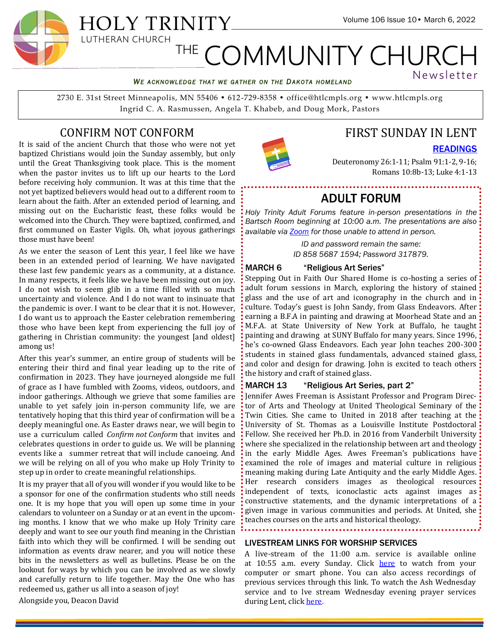#### *WE ACKNOWLEDGE THAT WE GATHER ON THE DAKOTA HOMELAND*

2730 E. 31st Street Minneapolis, MN 55406 • 612-729-8358 • office@htlcmpls.org • www.htlcmpls.org Ingrid C. A. Rasmussen, Angela T. Khabeb, and Doug Mork, Pastors

# CONFIRM NOT CONFORM

It is said of the ancient Church that those who were not yet baptized Christians would join the Sunday assembly, but only until the Great Thanksgiving took place. This is the moment when the pastor invites us to lift up our hearts to the Lord before receiving holy communion. It was at this time that the not yet baptized believers would head out to a different room to learn about the faith. After an extended period of learning, and missing out on the Eucharistic feast, these folks would be welcomed into the Church. They were baptized, confirmed, and first communed on Easter Vigils. Oh, what joyous gatherings those must have been!

As we enter the season of Lent this year, I feel like we have been in an extended period of learning. We have navigated these last few pandemic years as a community, at a distance. In many respects, it feels like we have been missing out on joy. I do not wish to seem glib in a time filled with so much uncertainty and violence. And I do not want to insinuate that the pandemic is over. I want to be clear that it is not. However, I do want us to approach the Easter celebration remembering those who have been kept from experiencing the full joy of gathering in Christian community: the youngest [and oldest] among us!

After this year's summer, an entire group of students will be entering their third and final year leading up to the rite of confirmation in 2023. They have journeyed alongside me full of grace as I have fumbled with Zooms, videos, outdoors, and indoor gatherings. Although we grieve that some families are unable to yet safely join in-person community life, we are tentatively hoping that this third year of confirmation will be a deeply meaningful one. As Easter draws near, we will begin to use a curriculum called *Confirm not Conform* that invites and celebrates questions in order to guide us. We will be planning events like a summer retreat that will include canoeing. And we will be relying on all of you who make up Holy Trinity to step up in order to create meaningful relationships.

It is my prayer that all of you will wonder if you would like to be a sponsor for one of the confirmation students who still needs one. It is my hope that you will open up some time in your calendars to volunteer on a Sunday or at an event in the upcoming months. I know that we who make up Holy Trinity care deeply and want to see our youth find meaning in the Christian faith into which they will be confirmed. I will be sending out information as events draw nearer, and you will notice these bits in the newsletters as well as bulletins. Please be on the lookout for ways by which you can be involved as we slowly and carefully return to life together. May the One who has redeemed us, gather us all into a season of joy!

Alongside you, Deacon David



# FIRST SUNDAY IN LENT

[READINGS](https://htlcmpls.org/site/wp-content/uploads/2022/03/Readings-March-6.pdf)

Newsletter

Deuteronomy 26:1-11; Psalm 91:1-2, 9-16; Romans 10:8b-13; Luke 4:1-13

# ADULT FORUM

*Holy Trinity Adult Forums feature in-person presentations in the Bartsch Room beginning at 10:00 a.m. The presentations are also available via [Zoom](https://us02web.zoom.us/j/85856871594?pwd=MjErUEQrTnhpTlhFV3VOZ0dsc3d1Zz09) for those unable to attend in person.*

> *ID and password remain the same: ID 858 5687 1594; Password 317879.*

#### MARCH 6 "Religious Art Series"

Stepping Out in Faith Our Shared Home is co-hosting a series of adult forum sessions in March, exploring the history of stained glass and the use of art and iconography in the church and in: culture. Today's guest is John Sandy, from Glass Endeavors. After earning a B.F.A in painting and drawing at Moorhead State and an: M.F.A. at State University of New York at Buffalo, he taught: painting and drawing at SUNY Buffalo for many years. Since 1996,  $\cdot$ he's co-owned Glass Endeavors. Each year John teaches 200-300: students in stained glass fundamentals, advanced stained glass, and color and design for drawing. John is excited to teach others the history and craft of stained glass.

#### MARCH 13 "Religious Art Series, part 2"

Jennifer Awes Freeman is Assistant Professor and Program Director of Arts and Theology at United Theological Seminary of the : Twin Cities. She came to United in 2018 after teaching at the University of St. Thomas as a Louisville Institute Postdoctoral: Fellow. She received her Ph.D. in 2016 from Vanderbilt University: where she specialized in the relationship between art and theology  $\cdot$ in the early Middle Ages. Awes Freeman's publications have: examined the role of images and material culture in religious meaning making during Late Antiquity and the early Middle Ages.: Her research considers images as theological resources: independent of texts, iconoclastic acts against images as: constructive statements, and the dynamic interpretations of a given image in various communities and periods. At United, she teaches courses on the arts and historical theology.

LIVESTREAM LINKS FOR WORSHIP SERVICES

A live-stream of the 11:00 a.m. service is available online at 10:55 a.m. every Sunday. Click [here](https://vimeo.com/event/1341305) to watch from your computer or smart phone. You can also access recordings of previous services through this link. To watch the Ash Wednesday service and to lve stream Wednesday evening prayer services during Lent, click [here.](https://vimeo.com/event/1898699/videos/682985027/)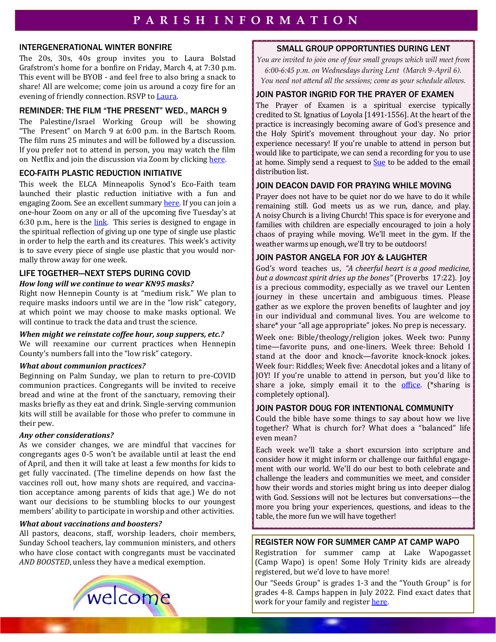## INTERGENERATIONAL WINTER BONFIRE

The 20s, 30s, 40s group invites you to Laura Bolstad Grafstrom's home for a bonfire on Friday, March 4, at 7:30 p.m. This event will be BYOB - and feel free to also bring a snack to share! All are welcome; come join us around a cozy fire for an evening of friendly connection. RSVP to [Laura.](mailto:laurabolstad1@gmail.com)

# REMINDER: THE FILM "THE PRESENT" WED., MARCH 9

The Palestine/Israel Working Group will be showing "The Present" on March 9 at 6:00 p.m. in the Bartsch Room. The film runs 25 minutes and will be followed by a discussion. If you prefer not to attend in person, you may watch the film on Netflix and join the discussion via Zoom by clicking [here.](https://us06web.zoom.us/j/81643091788?pwd=RGo1b3EwYVFNeW9PMGwyYVVrUjhUZz09)

# ECO-FAITH PLASTIC REDUCTION INITIATIVE

This week the ELCA Minneapolis Synod's Eco-Faith team launched their plastic reduction initiative with a fun and engaging Zoom. See an excellent summary [here.](https://docs.google.com/document/d/1ZyNad8JwsxbXOzCcpxisVX4K989Ao51TP8lxRuKSdt0/edit) If you can join a one-hour Zoom on any or all of the upcoming five Tuesday's at 6:30 p.m., here is the  $link$ . This series is designed to engage in the spiritual reflection of giving up one type of single use plastic in order to help the earth and its creatures. This week's activity is to save every piece of single use plastic that you would normally throw away for one week.

# LIFE TOGETHER—NEXT STEPS DURING COVID

#### *How long will we continue to wear KN95 masks?*

Right now Hennepin County is at "medium risk." We plan to require masks indoors until we are in the "low risk" category, at which point we may choose to make masks optional. We will continue to track the data and trust the science.

#### *When might we reinstate coffee hour, soup suppers, etc.?*

We will reexamine our current practices when Hennepin County's numbers fall into the "low risk" category.

## *What about communion practices?*

Beginning on Palm Sunday, we plan to return to pre-COVID communion practices. Congregants will be invited to receive bread and wine at the front of the sanctuary, removing their masks briefly as they eat and drink. Single-serving communion kits will still be available for those who prefer to commune in their pew.

## *Any other considerations?*

As we consider changes, we are mindful that vaccines for congregants ages 0-5 won't be available until at least the end of April, and then it will take at least a few months for kids to get fully vaccinated. (The timeline depends on how fast the vaccines roll out, how many shots are required, and vaccination acceptance among parents of kids that age.) We do not want our decisions to be stumbling blocks to our youngest members' ability to participate in worship and other activities.

## *What about vaccinations and boosters?*

All pastors, deacons, staff, worship leaders, choir members, Sunday School teachers, lay communion ministers, and others who have close contact with congregants must be vaccinated *AND BOOSTED*, unless they have a medical exemption.



*You are invited to join one of four small groups which will meet from 6:00-6:45 p.m. on Wednesdays during Lent (March 9-April 6). You need not attend all the sessions; come as your schedule allows.*

# JOIN PASTOR INGRID FOR THE PRAYER OF EXAMEN

The Prayer of Examen is a spiritual exercise typically credited to St. Ignatius of Loyola [1491-1556]. At the heart of the practice is increasingly becoming aware of God's presence and the Holy Spirit's movement throughout your day. No prior experience necessary! If you're unable to attend in person but would like to participate, we can send a recording for you to use at home. Simply send a request to [Sue](mailto:htoffice@htlcmpls.org) to be added to the email distribution list.

## JOIN DEACON DAVID FOR PRAYING WHILE MOVING

Prayer does not have to be quiet nor do we have to do it while remaining still. God meets us as we run, dance, and play. A noisy Church is a living Church! This space is for everyone and families with children are especially encouraged to join a holy chaos of praying while moving. We'll meet in the gym. If the weather warms up enough, we'll try to be outdoors!

## JOIN PASTOR ANGELA FOR JOY & LAUGHTER

God's word teaches us, *"A cheerful heart is a good medicine, but a downcast spirit dries up the bones"* (Proverbs 17:22). Joy is a precious commodity, especially as we travel our Lenten journey in these uncertain and ambiguous times. Please gather as we explore the proven benefits of laughter and joy in our individual and communal lives. You are welcome to share\* your "all age appropriate" jokes. No prep is necessary.

Week one: Bible/theology/religion jokes. Week two: Punny time—favorite puns, and one-liners. Week three: Behold I stand at the door and knock—favorite knock-knock jokes. Week four: Riddles; Week five: Anecdotal jokes and a litany of JOY! If you're unable to attend in person, but you'd like to share a joke, simply email it to the [office.](mailto:htoffice@htlcmpls.org) (\*sharing is completely optional).

## JOIN PASTOR DOUG FOR INTENTIONAL COMMUNITY

Could the bible have some things to say about how we live together? What is church for? What does a "balanced" life even mean?

Each week we'll take a short excursion into scripture and consider how it might inform or challenge our faithful engagement with our world. We'll do our best to both celebrate and challenge the leaders and communities we meet, and consider how their words and stories might bring us into deeper dialog with God. Sessions will not be lectures but conversations—the more you bring your experiences, questions, and ideas to the table, the more fun we will have together!

## REGISTER NOW FOR SUMMER CAMP AT CAMP WAPO

Registration for summer camp at Lake Wapogasset (Camp Wapo) is open! Some Holy Trinity kids are already registered, but we'd love to have more!

Our "Seeds Group" is grades 1-3 and the "Youth Group" is for grades 4-8. Camps happen in July 2022. Find exact dates that work for your family and register [here.](http://lwlbci.com/holy%20trinity-mpl)

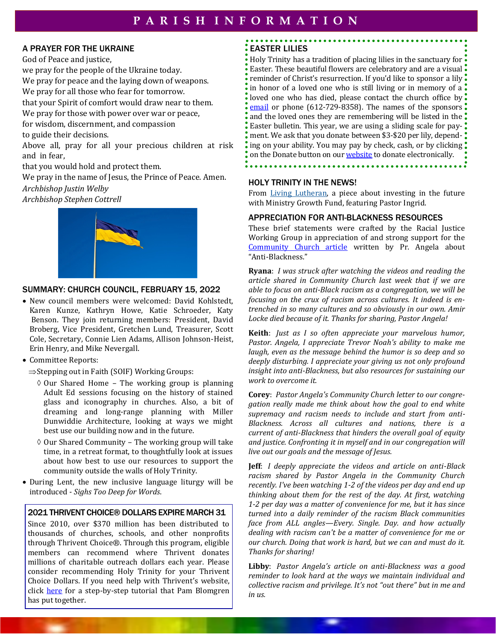## A PRAYER FOR THE UKRAINE

God of Peace and justice, we pray for the people of the Ukraine today. We pray for peace and the laying down of weapons. We pray for all those who fear for tomorrow. that your Spirit of comfort would draw near to them. We pray for those with power over war or peace, for wisdom, discernment, and compassion to guide their decisions. Above all, pray for all your precious children at risk and in fear, that you would hold and protect them.

We pray in the name of Jesus, the Prince of Peace. Amen.

*Archbishop Justin Welby*

*Archbishop Stephen Cottrell* 



#### SUMMARY: CHURCH COUNCIL, FEBRUARY 15, 2022

- New council members were welcomed: David Kohlstedt, Karen Kunze, Kathryn Howe, Katie Schroeder, Katy Benson. They join returning members: President, David Broberg, Vice President, Gretchen Lund, Treasurer, Scott Cole, Secretary, Connie Lien Adams, Allison Johnson-Heist, Erin Henry, and Mike Nevergall.
- Committee Reports:
	- $\Rightarrow$  Stepping out in Faith (SOIF) Working Groups:
		- $\Diamond$  Our Shared Home The working group is planning Adult Ed sessions focusing on the history of stained glass and iconography in churches. Also, a bit of dreaming and long-range planning with Miller Dunwiddie Architecture, looking at ways we might best use our building now and in the future.
		- $\Diamond$  Our Shared Community The working group will take time, in a retreat format, to thoughtfully look at issues about how best to use our resources to support the community outside the walls of Holy Trinity.
- During Lent, the new inclusive language liturgy will be introduced - *Sighs Too Deep for Words*.

#### 2021 THRIVENT CHOICE® DOLLARS EXPIRE MARCH 31

Since 2010, over \$370 million has been distributed to thousands of churches, schools, and other nonprofits through Thrivent Choice®. Through this program, eligible members can recommend where Thrivent donates millions of charitable outreach dollars each year. Please consider recommending Holy Trinity for your Thrivent Choice Dollars. If you need help with Thrivent's website, click [here](https://htlcmpls.org/website/wp-content/uploads/2020/12/Choice-Dollars.pdf) for a step-by-step tutorial that Pam Blomgren has put together.

# EASTER LILIES

Holy Trinity has a tradition of placing lilies in the sanctuary for Easter. These beautiful flowers are celebratory and are a visual  $\ddot{\bullet}$ reminder of Christ's resurrection. If you'd like to sponsor a lily  $\ddot{\cdot}$ in honor of a loved one who is still living or in memory of a. loved one who has died, please contact the church office by  $\ddot{\bullet}$ [email](mailto:office@htlcmpls.org) or phone (612-729-8358). The names of the sponsors and the loved ones they are remembering will be listed in the  $\ddot{\cdot}$ Easter bulletin. This year, we are using a sliding scale for payment. We ask that you donate between \$3-\$20 per lily, depending on your ability. You may pay by check, cash, or by clicking: on the Donate button on our **[website](htlcmpls.org)** to donate electronically.

#### HOLY TRINITY IN THE NEWS!

From [Living Lutheran,](https://www.livinglutheran.org/2022/03/an-investment-for-the-future/) a piece about investing in the future with Ministry Growth Fund, featuring Pastor Ingrid.

#### APPRECIATION FOR ANTI-BLACKNESS RESOURCES

These brief statements were crafted by the Racial Justice Working Group in appreciation of and strong support for the [Community Church article](https://htlcmpls.org/site/wp-content/uploads/2022/02/CC-2022-02-06-FOR-WEB.pdf) written by Pr. Angela about "Anti-Blackness."

**Ryana**: *I was struck after watching the videos and reading the article shared in Community Church last week that if we are able to focus on anti-Black racism as a congregation, we will be focusing on the crux of racism across cultures. It indeed is entrenched in so many cultures and so obviously in our own. Amir Locke died because of it. Thanks for sharing, Pastor Angela!*

**Keith**: *Just as I so often appreciate your marvelous humor, Pastor. Angela, I appreciate Trevor Noah's ability to make me laugh, even as the message behind the humor is so deep and so deeply disturbing. I appreciate your giving us not only profound insight into anti-Blackness, but also resources for sustaining our work to overcome it.* 

**Corey**: *Pastor Angela's Community Church letter to our congregation really made me think about how the goal to end white supremacy and racism needs to include and start from anti-Blackness. Across all cultures and nations, there is a current of anti-Blackness that hinders the overall goal of equity and justice. Confronting it in myself and in our congregation will live out our goals and the message of Jesus.*

**Jeff**: *I deeply appreciate the videos and article on anti-Black racism shared by Pastor Angela in the Community Church recently. I've been watching 1-2 of the videos per day and end up thinking about them for the rest of the day. At first, watching 1-2 per day was a matter of convenience for me, but it has since turned into a daily reminder of the racism Black communities face from ALL angles—Every. Single. Day. and how actually dealing with racism can't be a matter of convenience for me or our church. Doing that work is hard, but we can and must do it. Thanks for sharing!*

**Libby**: *Pastor Angela's article on anti-Blackness was a good reminder to look hard at the ways we maintain individual and collective racism and privilege. It's not "out there" but in me and in us.*